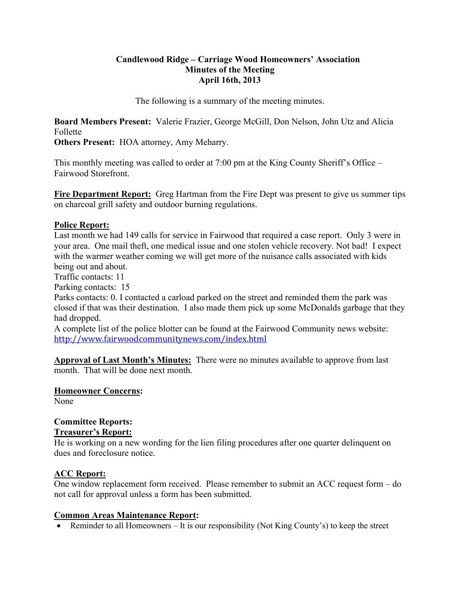#### **Candlewood Ridge – Carriage Wood Homeowners' Association Minutes of the Meeting April 16th, 2013**

The following is a summary of the meeting minutes.

**Board Members Present:** Valerie Frazier, George McGill, Don Nelson, John Utz and Alicia Follette

**Others Present:** HOA attorney, Amy Meharry.

This monthly meeting was called to order at 7:00 pm at the King County Sheriff's Office – Fairwood Storefront.

**Fire Department Report:** Greg Hartman from the Fire Dept was present to give us summer tips on charcoal grill safety and outdoor burning regulations.

#### **Police Report:**

Last month we had 149 calls for service in Fairwood that required a case report. Only 3 were in your area. One mail theft, one medical issue and one stolen vehicle recovery. Not bad! I expect with the warmer weather coming we will get more of the nuisance calls associated with kids being out and about.

Traffic contacts: 11

Parking contacts: 15

Parks contacts: 0. I contacted a carload parked on the street and reminded them the park was closed if that was their destination. I also made them pick up some McDonalds garbage that they had dropped.

A complete list of the police blotter can be found at the Fairwood Community news website: http://www.fairwoodcommunitynews.com/index.html

**Approval of Last Month's Minutes:** There were no minutes available to approve from last month. That will be done next month.

**Homeowner Concerns:**  None

# **Committee Reports:**

## **Treasurer's Report:**

He is working on a new wording for the lien filing procedures after one quarter delinquent on dues and foreclosure notice.

#### **ACC Report:**

One window replacement form received. Please remember to submit an ACC request form – do not call for approval unless a form has been submitted.

#### **Common Areas Maintenance Report:**

• Reminder to all Homeowners – It is our responsibility (Not King County's) to keep the street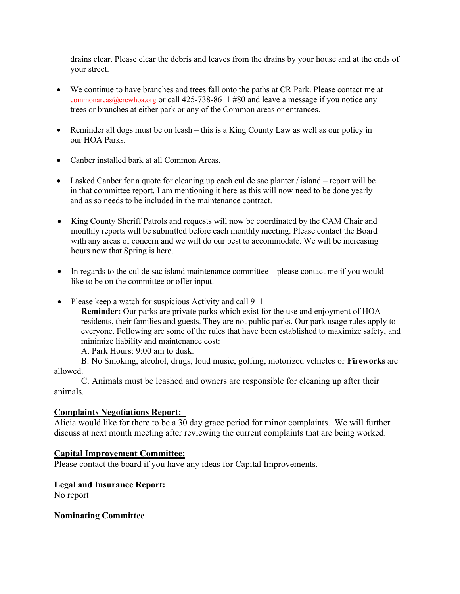drains clear. Please clear the debris and leaves from the drains by your house and at the ends of your street.

- We continue to have branches and trees fall onto the paths at CR Park. Please contact me at commonareas@crcwhoa.org or call 425-738-8611 #80 and leave a message if you notice any trees or branches at either park or any of the Common areas or entrances.
- Reminder all dogs must be on leash this is a King County Law as well as our policy in our HOA Parks.
- Canber installed bark at all Common Areas.
- $\bullet$  I asked Canber for a quote for cleaning up each cul de sac planter / island report will be in that committee report. I am mentioning it here as this will now need to be done yearly and as so needs to be included in the maintenance contract.
- King County Sheriff Patrols and requests will now be coordinated by the CAM Chair and monthly reports will be submitted before each monthly meeting. Please contact the Board with any areas of concern and we will do our best to accommodate. We will be increasing hours now that Spring is here.
- In regards to the cul de sac island maintenance committee please contact me if you would like to be on the committee or offer input.
- Please keep a watch for suspicious Activity and call 911
	- **Reminder:** Our parks are private parks which exist for the use and enjoyment of HOA residents, their families and guests. They are not public parks. Our park usage rules apply to everyone. Following are some of the rules that have been established to maximize safety, and minimize liability and maintenance cost:

A. Park Hours: 9:00 am to dusk.

B. No Smoking, alcohol, drugs, loud music, golfing, motorized vehicles or **Fireworks** are allowed.

C. Animals must be leashed and owners are responsible for cleaning up after their animals.

## **Complaints Negotiations Report:**

Alicia would like for there to be a 30 day grace period for minor complaints. We will further discuss at next month meeting after reviewing the current complaints that are being worked.

## **Capital Improvement Committee:**

Please contact the board if you have any ideas for Capital Improvements.

## **Legal and Insurance Report:**

No report

## **Nominating Committee**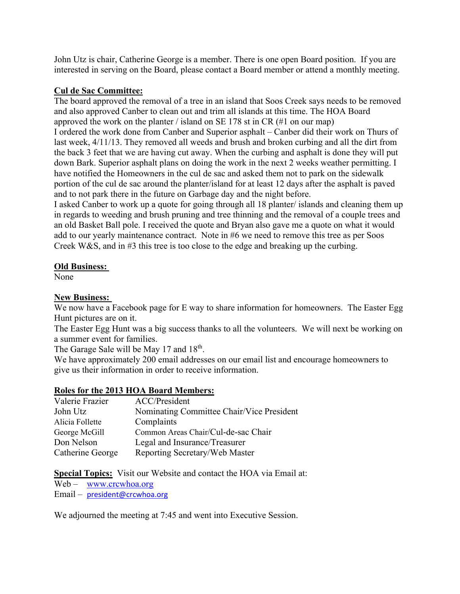John Utz is chair, Catherine George is a member. There is one open Board position. If you are interested in serving on the Board, please contact a Board member or attend a monthly meeting.

#### **Cul de Sac Committee:**

The board approved the removal of a tree in an island that Soos Creek says needs to be removed and also approved Canber to clean out and trim all islands at this time. The HOA Board approved the work on the planter / island on SE 178 st in CR (#1 on our map) I ordered the work done from Canber and Superior asphalt – Canber did their work on Thurs of last week, 4/11/13. They removed all weeds and brush and broken curbing and all the dirt from the back 3 feet that we are having cut away. When the curbing and asphalt is done they will put down Bark. Superior asphalt plans on doing the work in the next 2 weeks weather permitting. I have notified the Homeowners in the cul de sac and asked them not to park on the sidewalk portion of the cul de sac around the planter/island for at least 12 days after the asphalt is paved and to not park there in the future on Garbage day and the night before.

I asked Canber to work up a quote for going through all 18 planter/ islands and cleaning them up in regards to weeding and brush pruning and tree thinning and the removal of a couple trees and an old Basket Ball pole. I received the quote and Bryan also gave me a quote on what it would add to our yearly maintenance contract. Note in #6 we need to remove this tree as per Soos Creek W&S, and in #3 this tree is too close to the edge and breaking up the curbing.

#### **Old Business:**

None

#### **New Business:**

We now have a Facebook page for E way to share information for homeowners. The Easter Egg Hunt pictures are on it.

The Easter Egg Hunt was a big success thanks to all the volunteers. We will next be working on a summer event for families.

The Garage Sale will be May 17 and 18<sup>th</sup>.

We have approximately 200 email addresses on our email list and encourage homeowners to give us their information in order to receive information.

## **Roles for the 2013 HOA Board Members:**

| Valerie Frazier  | ACC/President                             |
|------------------|-------------------------------------------|
| John Utz         | Nominating Committee Chair/Vice President |
| Alicia Follette  | Complaints                                |
| George McGill    | Common Areas Chair/Cul-de-sac Chair       |
| Don Nelson       | Legal and Insurance/Treasurer             |
| Catherine George | Reporting Secretary/Web Master            |

**Special Topics:** Visit our Website and contact the HOA via Email at:

Web – www.crcwhoa.org

Email – president@crcwhoa.org

We adjourned the meeting at 7:45 and went into Executive Session.